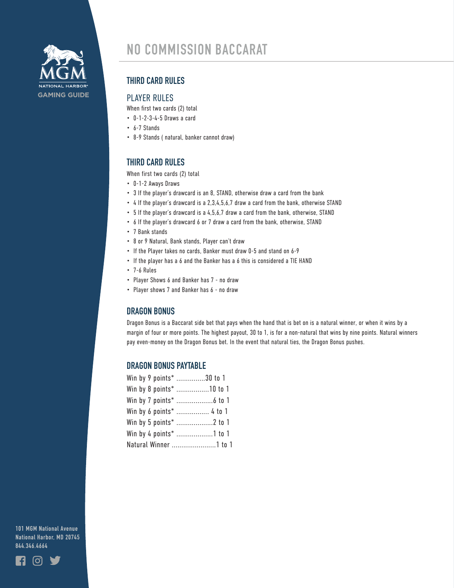

## **THIRD CARD RULES**

## PLAYER RULES

When first two cards (2) total

- 0-1-2-3-4-5 Draws a card
- 6-7 Stands
- 8-9 Stands ( natural, banker cannot draw)

# **THIRD CARD RULES**

When first two cards (2) total

- 0-1-2 Aways Draws
- 3 If the player's drawcard is an 8, STAND, otherwise draw a card from the bank
- 4 If the player's drawcard is a 2,3,4,5,6,7 draw a card from the bank, otherwise STAND
- 5 If the player's drawcard is a 4,5,6,7 draw a card from the bank, otherwise, STAND
- 6 If the player's drawcard 6 or 7 draw a card from the bank, otherwise, STAND
- 7 Bank stands
- 8 or 9 Natural, Bank stands, Player can't draw
- If the Player takes no cards, Banker must draw 0-5 and stand on 6-9
- If the player has a 6 and the Banker has a 6 this is considered a TIE HAND
- 7-6 Rules
- Player Shows 6 and Banker has 7 no draw
- Player shows 7 and Banker has 6 no draw

## **DRAGON BONUS**

Dragon Bonus is a Baccarat side bet that pays when the hand that is bet on is a natural winner, or when it wins by a margin of four or more points. The highest payout, 30 to 1, is for a non-natural that wins by nine points. Natural winners pay even-money on the Dragon Bonus bet. In the event that natural ties, the Dragon Bonus pushes.

#### **DRAGON BONUS PAYTABLE**

| Win by 9 points* 30 to 1 |
|--------------------------|
| Win by 8 points* 10 to 1 |
|                          |
| Win by 6 points*  4 to 1 |
|                          |
| Win by 4 points* 1 to 1  |
| Natural Winner 1 to 1    |

**101 MGM National Avenue National Harbor, MD 20745 844.346.4664**